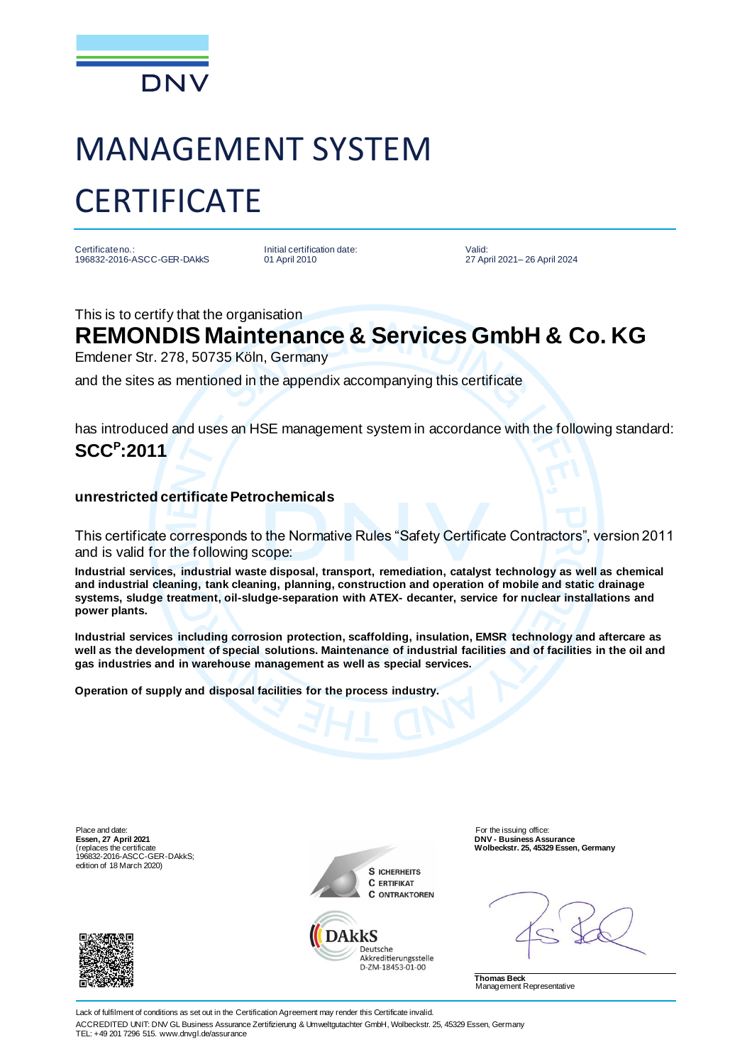

# MANAGEMENT SYSTEM **CERTIFICATE**

Certificate no.: 196832-2016-ASCC-GER-DAkkS Initial certification date: 01 April 2010

Valid: 27 April 2021– 26 April 2024

This is to certify that the organisation

### **REMONDIS Maintenance & Services GmbH & Co. KG**

Emdener Str. 278, 50735 Köln, Germany

and the sites as mentioned in the appendix accompanying this certificate

has introduced and uses an HSE management system in accordance with the following standard: **SCC<sup>P</sup> :2011**

#### **unrestricted certificate Petrochemicals**

This certificate corresponds to the Normative Rules "Safety Certificate Contractors", version 2011 and is valid for the following scope:

**Industrial services, industrial waste disposal, transport, remediation, catalyst technology as well as chemical and industrial cleaning, tank cleaning, planning, construction and operation of mobile and static drainage systems, sludge treatment, oil-sludge-separation with ATEX- decanter, service for nuclear installations and power plants.**

**Industrial services including corrosion protection, scaffolding, insulation, EMSR technology and aftercare as well as the development of special solutions. Maintenance of industrial facilities and of facilities in the oil and gas industries and in warehouse management as well as special services.**

**Operation of supply and disposal facilities for the process industry.**

Place and date: **For the issuing office:** For the issuing office: **Essen, 27 April 2021** (replaces the certificate 196832-2016-ASCC-GER-DAkkS; edition of 18 March 2020)





Deutsche Akkreditierungsstelle D-7M-18453-01-00

**DNV - Business Assurance Wolbeckstr. 25, 45329 Essen, Germany**

**Thomas Beck** Management Representative

Lack of fulfilment of conditions as set out in the Certification Agreement may render this Certificate invalid. ACCREDITED UNIT: DNV GL Business Assurance Zertifizierung & Umweltgutachter GmbH, Wolbeckstr. 25, 45329 Essen, Germany TEL: +49 201 7296 515. www.dnvgl.de/assurance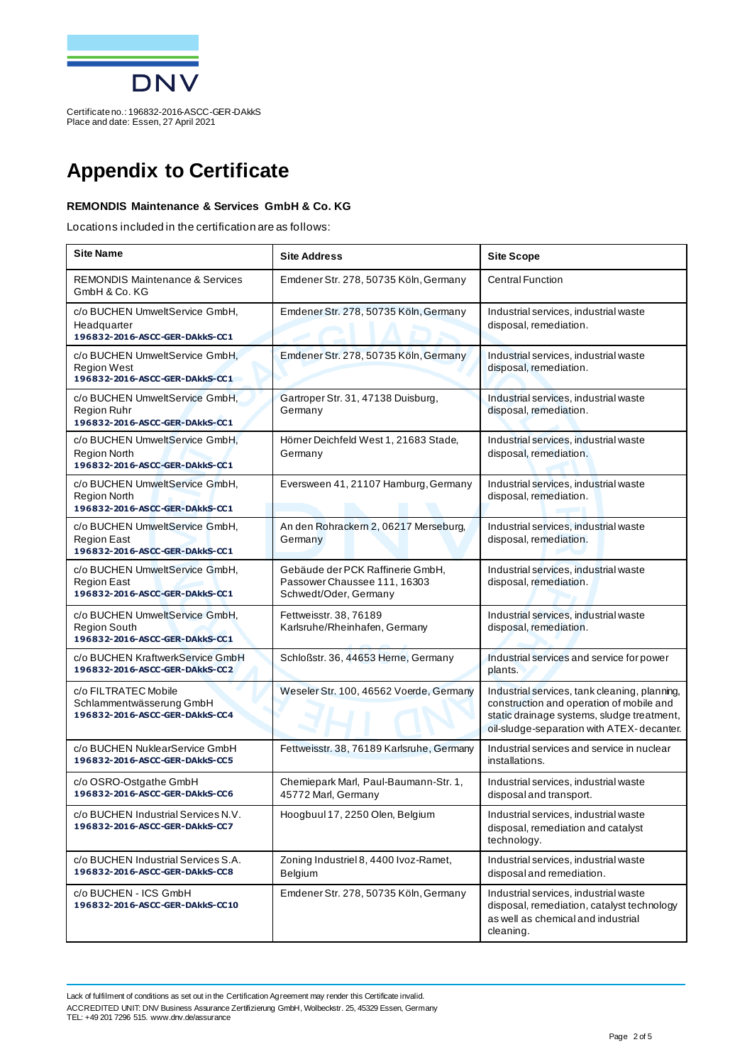

## **Appendix to Certificate**

#### **REMONDIS Maintenance & Services GmbH & Co. KG**

Locations included in the certification are as follows:

| <b>Site Name</b>                                                                        | <b>Site Address</b>                                                                       | <b>Site Scope</b>                                                                                                                                                                    |
|-----------------------------------------------------------------------------------------|-------------------------------------------------------------------------------------------|--------------------------------------------------------------------------------------------------------------------------------------------------------------------------------------|
| <b>REMONDIS Maintenance &amp; Services</b><br>GmbH & Co. KG                             | Emdener Str. 278, 50735 Köln, Germany                                                     | <b>Central Function</b>                                                                                                                                                              |
| c/o BUCHEN UmweltService GmbH,<br>Headquarter<br>196832-2016-ASCC-GER-DAkkS-CC1         | Emdener Str. 278, 50735 Köln, Germany                                                     | Industrial services, industrial waste<br>disposal, remediation.                                                                                                                      |
| c/o BUCHEN UmweltService GmbH,<br><b>Region West</b><br>196832-2016-ASCC-GER-DAkkS-CC1  | Emdener Str. 278, 50735 Köln, Germany                                                     | Industrial services, industrial waste<br>disposal, remediation.                                                                                                                      |
| c/o BUCHEN UmweltService GmbH.<br>Region Ruhr<br>196832-2016-ASCC-GER-DAkkS-CC1         | Gartroper Str. 31, 47138 Duisburg,<br>Germany                                             | Industrial services, industrial waste<br>disposal, remediation.                                                                                                                      |
| c/o BUCHEN UmweltService GmbH,<br><b>Region North</b><br>196832-2016-ASCC-GER-DAkkS-CC1 | Hörner Deichfeld West 1, 21683 Stade,<br>Germany                                          | Industrial services, industrial waste<br>disposal, remediation.                                                                                                                      |
| c/o BUCHEN UmweltService GmbH,<br>Region North<br>196832-2016-ASCC-GER-DAkkS-CC1        | Eversween 41, 21107 Hamburg, Germany                                                      | Industrial services, industrial waste<br>disposal, remediation.                                                                                                                      |
| c/o BUCHEN UmweltService GmbH,<br><b>Region East</b><br>196832-2016-ASCC-GER-DAkkS-CC1  | An den Rohrackern 2, 06217 Merseburg,<br>Germany                                          | Industrial services, industrial waste<br>disposal, remediation.                                                                                                                      |
| c/o BUCHEN UmweltService GmbH,<br><b>Region East</b><br>196832-2016-ASCC-GER-DAkkS-CC1  | Gebäude der PCK Raffinerie GmbH,<br>Passower Chaussee 111, 16303<br>Schwedt/Oder, Germany | Industrial services, industrial waste<br>disposal, remediation.                                                                                                                      |
| c/o BUCHEN UmweltService GmbH,<br><b>Region South</b><br>196832-2016-ASCC-GER-DAkkS-CC1 | Fettweisstr. 38, 76189<br>Karlsruhe/Rheinhafen, Germany                                   | Industrial services, industrial waste<br>disposal, remediation.                                                                                                                      |
| c/o BUCHEN KraftwerkService GmbH<br>196832-2016-ASCC-GER-DAkkS-CC2                      | Schloßstr. 36, 44653 Herne, Germany                                                       | Industrial services and service for power<br>plants.                                                                                                                                 |
| c/o FILTRATEC Mobile<br>Schlammentwässerung GmbH<br>196832-2016-ASCC-GER-DAkkS-CC4      | Weseler Str. 100, 46562 Voerde, Germany                                                   | Industrial services, tank cleaning, planning,<br>construction and operation of mobile and<br>static drainage systems, sludge treatment,<br>oil-sludge-separation with ATEX-decanter. |
| c/o BUCHEN NuklearService GmbH<br>196832-2016-ASCC-GER-DAkkS-CC5                        | Fettweisstr. 38, 76189 Karlsruhe, Germany                                                 | Industrial services and service in nuclear<br>installations.                                                                                                                         |
| c/o OSRO-Ostgathe GmbH<br>196832-2016-ASCC-GER-DAkkS-CC6                                | Chemiepark Marl, Paul-Baumann-Str. 1,<br>45772 Marl, Germany                              | Industrial services, industrial waste<br>disposal and transport.                                                                                                                     |
| c/o BUCHEN Industrial Services N.V.<br>196832-2016-ASCC-GER-DAkkS-CC7                   | Hoogbuul 17, 2250 Olen, Belgium                                                           | Industrial services, industrial waste<br>disposal, remediation and catalyst<br>technology.                                                                                           |
| c/o BUCHEN Industrial Services S.A.<br>196832-2016-ASCC-GER-DAkkS-CC8                   | Zoning Industriel 8, 4400 Ivoz-Ramet,<br>Belgium                                          | Industrial services, industrial waste<br>disposal and remediation.                                                                                                                   |
| c/o BUCHEN - ICS GmbH<br>196832-2016-ASCC-GER-DAkkS-CC10                                | Emdener Str. 278, 50735 Köln, Germany                                                     | Industrial services, industrial waste<br>disposal, remediation, catalyst technology<br>as well as chemical and industrial<br>cleaning.                                               |

Lack of fulfilment of conditions as set out in the Certification Agreement may render this Certificate invalid. ACCREDITED UNIT: DNV Business Assurance Zertifizierung GmbH, Wolbeckstr. 25, 45329 Essen, Germany TEL: +49 201 7296 515. www.dnv.de/assurance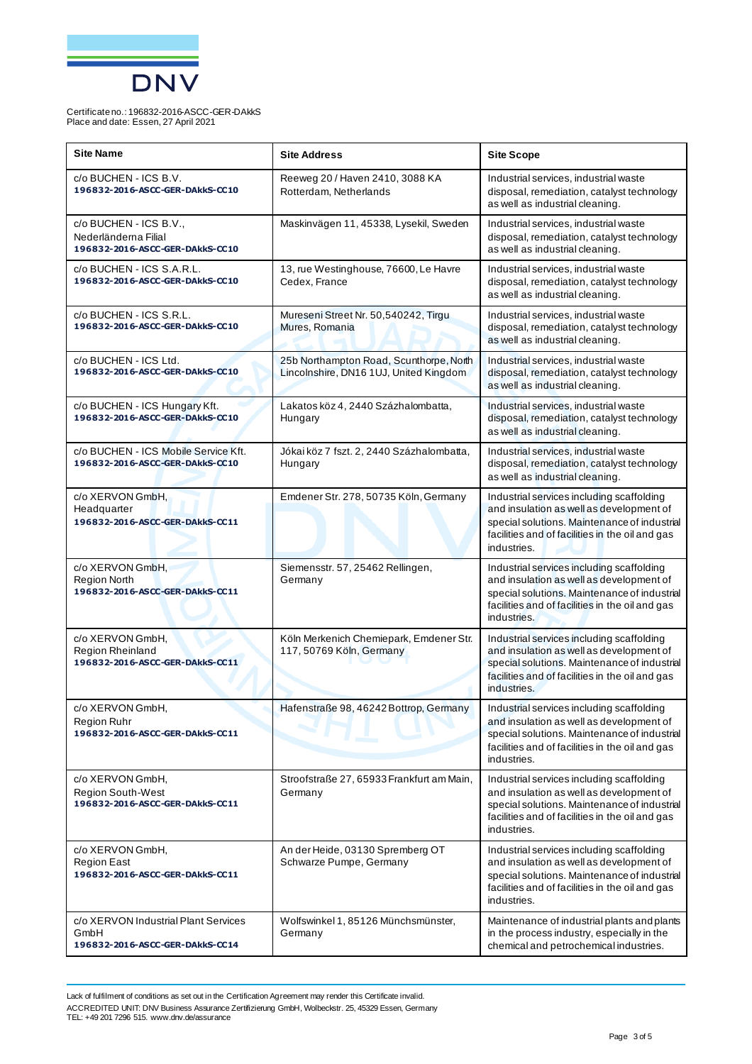

| <b>Site Name</b>                                                                  | <b>Site Address</b>                                                               | <b>Site Scope</b>                                                                                                                                                                                       |
|-----------------------------------------------------------------------------------|-----------------------------------------------------------------------------------|---------------------------------------------------------------------------------------------------------------------------------------------------------------------------------------------------------|
| c/o BUCHEN - ICS B.V.<br>196832-2016-ASCC-GER-DAkkS-CC10                          | Reeweg 20 / Haven 2410, 3088 KA<br>Rotterdam, Netherlands                         | Industrial services, industrial waste<br>disposal, remediation, catalyst technology<br>as well as industrial cleaning.                                                                                  |
| c/o BUCHEN - ICS B.V.,<br>Nederländerna Filial<br>196832-2016-ASCC-GER-DAkkS-CC10 | Maskinvägen 11, 45338, Lysekil, Sweden                                            | Industrial services, industrial waste<br>disposal, remediation, catalyst technology<br>as well as industrial cleaning.                                                                                  |
| c/o BUCHEN - ICS S.A.R.L.<br>196832-2016-ASCC-GER-DAkkS-CC10                      | 13, rue Westinghouse, 76600, Le Havre<br>Cedex, France                            | Industrial services, industrial waste<br>disposal, remediation, catalyst technology<br>as well as industrial cleaning.                                                                                  |
| c/o BUCHEN - ICS S.R.L.<br>196832-2016-ASCC-GER-DAkkS-CC10                        | Mureseni Street Nr. 50,540242, Tirgu<br>Mures, Romania                            | Industrial services, industrial waste<br>disposal, remediation, catalyst technology<br>as well as industrial cleaning.                                                                                  |
| c/o BUCHEN - ICS Ltd.<br>196832-2016-ASCC-GER-DAkkS-CC10                          | 25b Northampton Road, Scunthorpe, North<br>Lincolnshire, DN16 1UJ, United Kingdom | Industrial services, industrial waste<br>disposal, remediation, catalyst technology<br>as well as industrial cleaning.                                                                                  |
| c/o BUCHEN - ICS Hungary Kft.<br>196832-2016-ASCC-GER-DAkkS-CC10                  | Lakatos köz 4, 2440 Százhalombatta,<br>Hungary                                    | Industrial services, industrial waste<br>disposal, remediation, catalyst technology<br>as well as industrial cleaning.                                                                                  |
| c/o BUCHEN - ICS Mobile Service Kft.<br>196832-2016-ASCC-GER-DAkkS-CC10           | Jókai köz 7 fszt. 2, 2440 Százhalombatta,<br>Hungary                              | Industrial services, industrial waste<br>disposal, remediation, catalyst technology<br>as well as industrial cleaning.                                                                                  |
| c/o XERVON GmbH,<br>Headquarter<br>196832-2016-ASCC-GER-DAkkS-CC11                | Emdener Str. 278, 50735 Köln, Germany                                             | Industrial services including scaffolding<br>and insulation as well as development of<br>special solutions. Maintenance of industrial<br>facilities and of facilities in the oil and gas<br>industries. |
| c/o XERVON GmbH,<br><b>Region North</b><br>196832-2016-ASCC-GER-DAkkS-CC11        | Siemensstr. 57, 25462 Rellingen,<br>Germany                                       | Industrial services including scaffolding<br>and insulation as well as development of<br>special solutions. Maintenance of industrial<br>facilities and of facilities in the oil and gas<br>industries. |
| c/o XERVON GmbH,<br>Region Rheinland<br>196832-2016-ASCC-GER-DAkkS-CC11           | Köln Merkenich Chemiepark, Emdener Str.<br>117, 50769 Köln, Germany               | Industrial services including scaffolding<br>and insulation as well as development of<br>special solutions. Maintenance of industrial<br>facilities and of facilities in the oil and gas<br>industries. |
| c/o XERVON GmbH,<br>Region Ruhr<br>196832-2016-ASCC-GER-DAkkS-CC11                | Hafenstraße 98, 46242 Bottrop, Germany                                            | Industrial services including scaffolding<br>and insulation as well as development of<br>special solutions. Maintenance of industrial<br>facilities and of facilities in the oil and gas<br>industries. |
| c/o XERVON GmbH,<br><b>Region South-West</b><br>196832-2016-ASCC-GER-DAkkS-CC11   | Stroofstraße 27, 65933 Frankfurt am Main,<br>Germany                              | Industrial services including scaffolding<br>and insulation as well as development of<br>special solutions. Maintenance of industrial<br>facilities and of facilities in the oil and gas<br>industries. |
| c/o XERVON GmbH,<br><b>Region East</b><br>196832-2016-ASCC-GER-DAkkS-CC11         | An der Heide, 03130 Spremberg OT<br>Schwarze Pumpe, Germany                       | Industrial services including scaffolding<br>and insulation as well as development of<br>special solutions. Maintenance of industrial<br>facilities and of facilities in the oil and gas<br>industries. |
| c/o XERVON Industrial Plant Services<br>GmbH<br>196832-2016-ASCC-GER-DAkkS-CC14   | Wolfswinkel 1, 85126 Münchsmünster,<br>Germany                                    | Maintenance of industrial plants and plants<br>in the process industry, especially in the<br>chemical and petrochemical industries.                                                                     |

Lack of fulfilment of conditions as set out in the Certification Agreement may render this Certificate invalid. ACCREDITED UNIT: DNV Business Assurance Zertifizierung GmbH, Wolbeckstr. 25, 45329 Essen, Germany TEL: +49 201 7296 515. www.dnv.de/assurance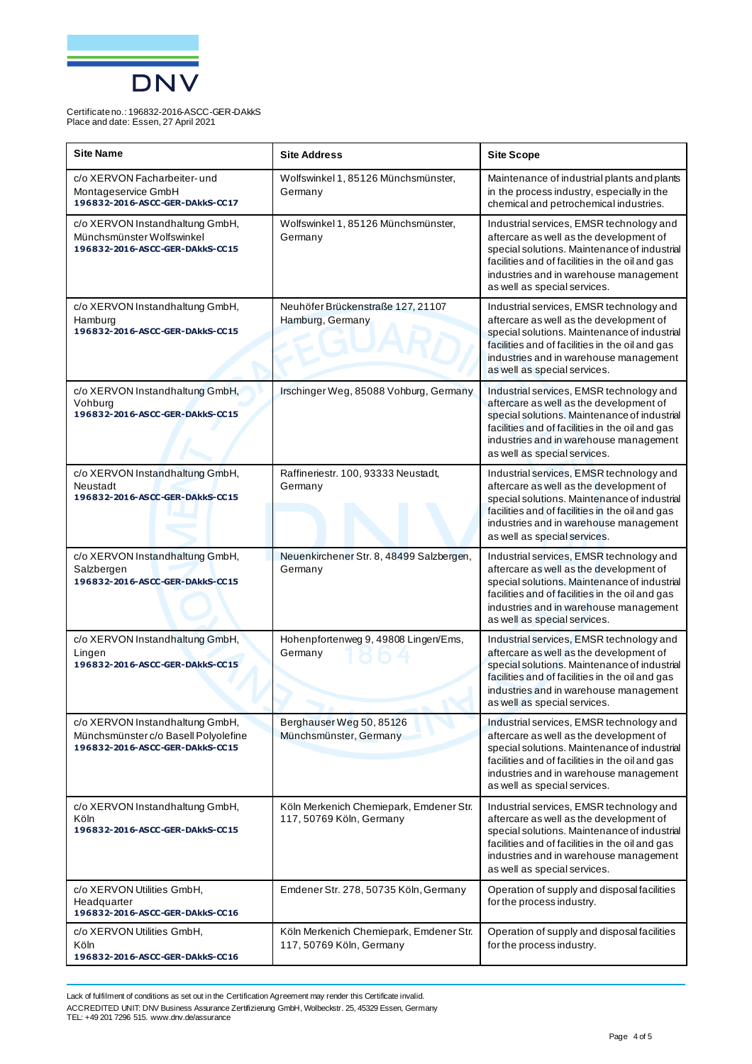

| <b>Site Name</b>                                                                                           | <b>Site Address</b>                                                 | <b>Site Scope</b>                                                                                                                                                                                                                                                |
|------------------------------------------------------------------------------------------------------------|---------------------------------------------------------------------|------------------------------------------------------------------------------------------------------------------------------------------------------------------------------------------------------------------------------------------------------------------|
| c/o XERVON Facharbeiter- und<br>Montageservice GmbH<br>196832-2016-ASCC-GER-DAkkS-CC17                     | Wolfswinkel 1, 85126 Münchsmünster,<br>Germany                      | Maintenance of industrial plants and plants<br>in the process industry, especially in the<br>chemical and petrochemical industries.                                                                                                                              |
| c/o XERVON Instandhaltung GmbH,<br>Münchsmünster Wolfswinkel<br>196832-2016-ASCC-GER-DAkkS-CC15            | Wolfswinkel 1, 85126 Münchsmünster,<br>Germany                      | Industrial services, EMSR technology and<br>aftercare as well as the development of<br>special solutions. Maintenance of industrial<br>facilities and of facilities in the oil and gas<br>industries and in warehouse management<br>as well as special services. |
| c/o XERVON Instandhaltung GmbH,<br>Hamburg<br>196832-2016-ASCC-GER-DAkkS-CC15                              | Neuhöfer Brückenstraße 127, 21107<br>Hamburg, Germany               | Industrial services, EMSR technology and<br>aftercare as well as the development of<br>special solutions. Maintenance of industrial<br>facilities and of facilities in the oil and gas<br>industries and in warehouse management<br>as well as special services. |
| c/o XERVON Instandhaltung GmbH,<br>Vohburg<br>196832-2016-ASCC-GER-DAkkS-CC15                              | Irschinger Weg, 85088 Vohburg, Germany                              | Industrial services, EMSR technology and<br>aftercare as well as the development of<br>special solutions. Maintenance of industrial<br>facilities and of facilities in the oil and gas<br>industries and in warehouse management<br>as well as special services. |
| c/o XERVON Instandhaltung GmbH,<br>Neustadt<br>196832-2016-ASCC-GER-DAkkS-CC15                             | Raffineriestr. 100, 93333 Neustadt,<br>Germany                      | Industrial services, EMSR technology and<br>aftercare as well as the development of<br>special solutions. Maintenance of industrial<br>facilities and of facilities in the oil and gas<br>industries and in warehouse management<br>as well as special services. |
| c/o XERVON Instandhaltung GmbH,<br>Salzbergen<br>196832-2016-ASCC-GER-DAkkS-CC15                           | Neuenkirchener Str. 8, 48499 Salzbergen,<br>Germany                 | Industrial services, EMSR technology and<br>aftercare as well as the development of<br>special solutions. Maintenance of industrial<br>facilities and of facilities in the oil and gas<br>industries and in warehouse management<br>as well as special services. |
| c/o XERVON Instandhaltung GmbH,<br>Lingen<br>196832-2016-ASCC-GER-DAkkS-CC15                               | Hohenpfortenweg 9, 49808 Lingen/Ems,<br>Germany                     | Industrial services, EMSR technology and<br>aftercare as well as the development of<br>special solutions. Maintenance of industrial<br>facilities and of facilities in the oil and gas<br>industries and in warehouse management<br>as well as special services. |
| c/o XERVON Instandhaltung GmbH,<br>Münchsmünster c/o Basell Polyolefine<br>196832-2016-ASCC-GER-DAkkS-CC15 | Berghauser Weg 50, 85126<br>Münchsmünster, Germany                  | Industrial services, EMSR technology and<br>aftercare as well as the development of<br>special solutions. Maintenance of industrial<br>facilities and of facilities in the oil and gas<br>industries and in warehouse management<br>as well as special services. |
| c/o XERVON Instandhaltung GmbH,<br>Köln<br>196832-2016-ASCC-GER-DAkkS-CC15                                 | Köln Merkenich Chemiepark, Emdener Str.<br>117, 50769 Köln, Germany | Industrial services, EMSR technology and<br>aftercare as well as the development of<br>special solutions. Maintenance of industrial<br>facilities and of facilities in the oil and gas<br>industries and in warehouse management<br>as well as special services. |
| c/o XERVON Utilities GmbH,<br>Headquarter<br>196832-2016-ASCC-GER-DAkkS-CC16                               | Emdener Str. 278, 50735 Köln, Germany                               | Operation of supply and disposal facilities<br>for the process industry.                                                                                                                                                                                         |
| c/o XERVON Utilities GmbH,<br>Köln<br>196832-2016-ASCC-GER-DAkkS-CC16                                      | Köln Merkenich Chemiepark, Emdener Str.<br>117, 50769 Köln, Germany | Operation of supply and disposal facilities<br>for the process industry.                                                                                                                                                                                         |

Lack of fulfilment of conditions as set out in the Certification Agreement may render this Certificate invalid. ACCREDITED UNIT: DNV Business Assurance Zertifizierung GmbH, Wolbeckstr. 25, 45329 Essen, Germany TEL: +49 201 7296 515. www.dnv.de/assurance